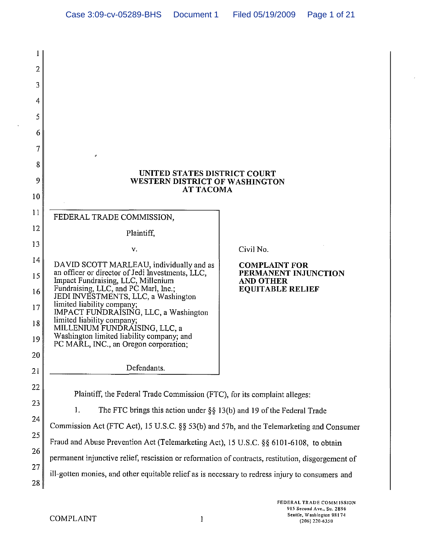| 1  |                                                                                                   |                                          |  |
|----|---------------------------------------------------------------------------------------------------|------------------------------------------|--|
| 2  |                                                                                                   |                                          |  |
| 3  |                                                                                                   |                                          |  |
| 4  |                                                                                                   |                                          |  |
| 5  |                                                                                                   |                                          |  |
| 6  |                                                                                                   |                                          |  |
| 7  | ø                                                                                                 |                                          |  |
| 8  |                                                                                                   |                                          |  |
| 9  | UNITED STATES DISTRICT COURT<br>WESTERN DISTRICT OF WASHINGTON<br><b>AT TACOMA</b>                |                                          |  |
| 10 |                                                                                                   |                                          |  |
| 11 | FEDERAL TRADE COMMISSION,                                                                         |                                          |  |
| 12 | Plaintiff,                                                                                        |                                          |  |
| 13 | v.                                                                                                | Civil No.                                |  |
| 14 | DAVID SCOTT MARLEAU, individually and as                                                          | <b>COMPLAINT FOR</b>                     |  |
| 15 | an officer or director of Jedi Investments, LLC,<br>Impact Fundraising, LLC, Millenium            | PERMANENT INJUNCTION<br><b>AND OTHER</b> |  |
| 16 | Fundraising, LLC, and PC Marl, Inc.;<br>JEDI INVESTMENTS, LLC, a Washington                       | <b>EQUITABLE RELIEF</b>                  |  |
| 17 | limited liability company;<br>IMPACT FUNDRAISING, LLC, a Washington                               |                                          |  |
| 18 | limited liability company;<br>MILLENIUM FUNDRAISING, LLC, a                                       |                                          |  |
| 19 | Washington limited liability company; and<br>PC MARL, INC., an Oregon corporation;                |                                          |  |
| 20 |                                                                                                   |                                          |  |
| 21 | Defendants.                                                                                       |                                          |  |
| 22 | Plaintiff, the Federal Trade Commission (FTC), for its complaint alleges:                         |                                          |  |
| 23 | 1.<br>The FTC brings this action under $\S\S 13(b)$ and 19 of the Federal Trade                   |                                          |  |
| 24 | Commission Act (FTC Act), 15 U.S.C. §§ 53(b) and 57b, and the Telemarketing and Consumer          |                                          |  |
| 25 | Fraud and Abuse Prevention Act (Telemarketing Act), 15 U.S.C. §§ 6101-6108, to obtain             |                                          |  |
| 26 | permanent injunctive relief, rescission or reformation of contracts, restitution, disgorgement of |                                          |  |
| 27 | ill-gotten monies, and other equitable relief as is necessary to redress injury to consumers and  |                                          |  |
| 28 |                                                                                                   |                                          |  |
|    |                                                                                                   |                                          |  |

 $\bar{\lambda}$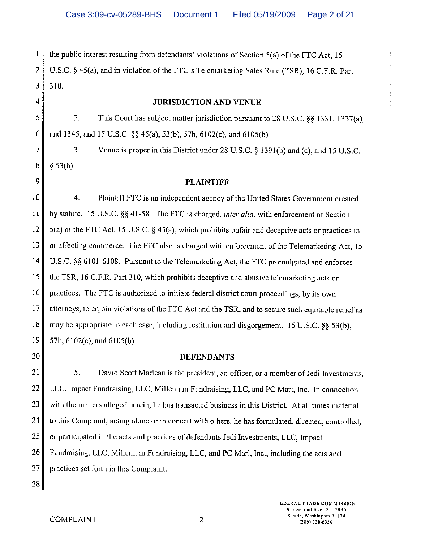$1 \parallel$  the public interest resulting from defendants' violations of Section 5(a) of the FTC Act, 15 2 U.S.C. § 45(a), and in violation of the FTC's Telemarketing Sales Rule (TSR), 16 C.F.R. Part  $3$  310.

#### 4 **JURISDICTION AND VENUE**

5 2. This Court has subject matter jurisdiction pursuant to 28 U.S.C. §§ 1331, 1337(a), 6 and 1345, and 15 U.S.C. §§ 45(a), 53(b), 57b, 6102(c), and 6105(b).

7  $\parallel$  3. Venue is proper in this District under 28 U.S.C. § 1391(b) and (c), and 15 U.S.C.  $8 \parallel \S 53(b)$ .

#### 9 PLAINTIFF

10 4. Plaintiff FTC is an independent agency of the United States Government created II by statute. 15 U.S.C. §§ 41-58. The FTC is charged, *inter alia,* with enforcement of Section 12  $\parallel$  5(a) of the FTC Act, 15 U.S.C. § 45(a), which prohibits unfair and deceptive acts or practices in 13 or affecting commerce. The FTC also is charged with enforcement of the Telemarketing Act, 15 14 U.S.C. §§ 6101-6108. Pursuant to the Telemarketing Act, the FTC promulgated and enforces 15 the TSR, 16 C.F.R. Part 310, which prohibits deceptive and abusive telemarketing acts or  $16$  practices. The FTC is authorized to initiate federal district court proceedings, by its own 17 dittorneys, to enjoin violations of the FTC Act and the TSR, and to secure such equitable relief as 18 may be appropriate in each case, including restitution and disgorgement. 15 U.S.C. §§ 53 (b), 19  $\parallel$  57b, 6102(c), and 6105(b).

#### 20 DEFENDANTS

21 5. David Scott Marleau is the president, an officer, or a member of Jedi Investments, 22 LLC, Impact Fundraising, LLC, Millenium Fundraising, LLC, and PC Marl, Inc. In connection  $23$  with the matters alleged herein, he has transacted business in this District. At all times material 24 to this Complaint, acting alone or in concert with others, he has formulated, directed, controlled,  $25$  or participated in the acts and practices of defendants Jedi Investments, LLC, Impact 26 Fundraising, LLC, Millenium Fundraising, LLC, and PC Marl, Inc., including the acts and 27 practices set forth in this Complaint.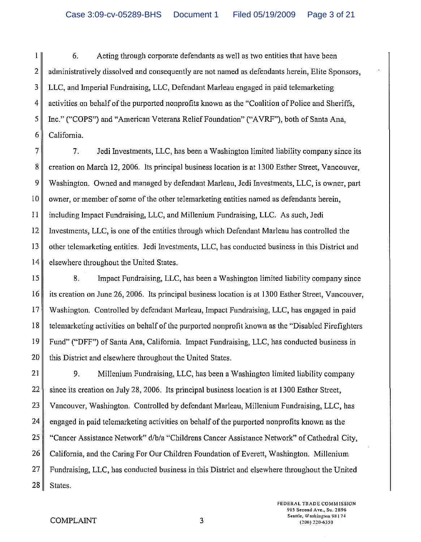1 6. Acting through corporate defendants as weIl as two entities that have been 2 administratively dissolved and consequently are not named as defendants herein, Elite Sponsors, 3 LLC, and Imperial Fundraising, LLC, Defendant Marleau engaged in paid telemarketing  $4 \parallel$  activities on behalf of the purported nonprofits known as the "Coalition of Police and Sheriffs, 5 Inc." ("COPS") and "American Veterans Relief Foundation" ("AVRF"), both of Santa Ana, 6 California.

 $7$  7. Jedi Investments, LLC, has been a Washington limited liability company since its 8 creation on March 12, 2006. Its principal business location is at 1300 Esther Street, Vancouver, 9 Washington. Owned and managed by defendant Marleau, Jedi Investments, LLC, is owner, part  $10$  owner, or member of some of the other telemarketing entities named as defendants herein, **11** including Impact Fundraising, LLC, and Millenium Fundraising, LLC. As such, Jedi 12 Investments, LLC, is one of the entities through which Defendant Marleau has controIled the 13 other telemarketing entities. Jedi Investments, LLC, has conducted business in this District and 14 elsewhere throughout the United States.

15 8. Impact Fundraising, LLC, has been a Washington limited liability company since 16 its creation on June 26, 2006. Its principal business location is at 1300 Esther Street, Vancouver, 17 Washington. Controlled by defendant Marleau, Impact Fundraising, LLC, has engaged in paid 18 telemarketing activities on behalf of the purported nonprofit known as the "Disabled Firefighters 19 Fund" ("DFF") of Santa Ana, California. Impact Fundraising, LLC, has conducted business in  $20$  this District and elsewhere throughout the United States.

21 9. Millenium Fundraising, LLC, has been a Washington limited liability company 22 since its creation on July 28, 2006. Its principal business location is at 1300 Esther Street, 23 Vancouver, Washington. Controlled by defendant Marleau, Millenium Fundraising, LLC, has 24 engaged in paid telemarketing activities on behalf of the purported nonprofits known as the 25 | "Cancer Assistance Network" d/b/a "Childrens Cancer Assistance Network" of Cathedral City, 26 California, and the Caring For Our Children Foundation of Everett, Washington. Millenium 27 Fundraising, LLC, has conducted business in this District and elsewhere throughout the United  $28$  States.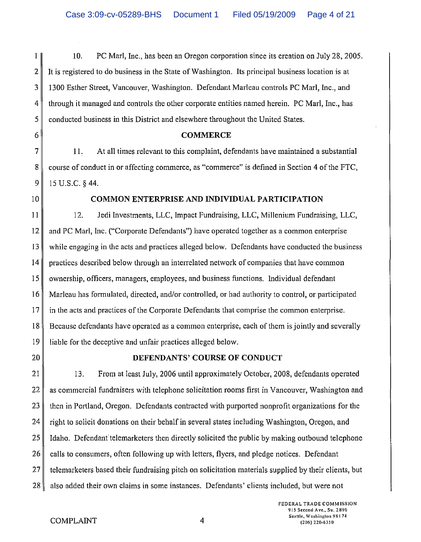1 10. PC Marl, Inc., has been an Oregon corporation since its creation on July 28,2005. 2 It is registered to do business in the State of Washington. Its principal business location is at 3 1300 Esther Street, Vancouver, Washington. Defendant Marleau controls PC Marl, Inc., and 4 through it managed and controls the other corporate entities named herein. PC Marl, Inc., has  $5 \parallel$  conducted business in this District and elsewhere throughout the United States.

#### 6 **COMMERCE**

7 **11.** At all times relevant to this complaint, defendants have maintained a substantial  $8 \parallel$  course of conduct in or affecting commerce, as "commerce" is defined in Section 4 of the FTC,  $9$  | 15 U.S.C. § 44.

#### 10 **COMMON ENTERPRISE AND INDIVIDUAL PARTICIPATION**

**II** 12. Jedi Investments, LLC, Impact Fundraising, LLC, Millenium Fundraising, LLC, 12 and PC Marl, Inc. ("Corporate Defendants") have operated together as a common enterprise 13 while engaging in the acts and practices alleged below. Defendants have conducted the business  $14$  practices described below through an interrelated network of companies that have common 15 vwnership, officers, managers, employees, and business functions. Individual defendant 16 Marleau has formulated, directed, and/or controlled, or had authority to control, or participated 17 in the acts and practices of the Corporate Defendants that comprise the common enterprise. 18 Because defendants have operated as a common enterprise, each of them is jointly and severally 19 liable for the deceptive and unfair practices alleged below.

#### 20 **DEFENDANTS' COURSE OF CONDUCT**

21 13. From at least July, 2006 until approximately October, 2008, defendants operated 22 as commercial fundraisers with telephone solicitation rooms first in Vancouver, Washington and 23 then in Portland, Oregon. Defendants contracted with purported nonprofit organizations for the 24 right to solicit donations on their behalf in several states including Washington, Oregon, and  $25$  I Idaho. Defendant telemarketers then directly solicited the public by making outbound telephone  $26$  calls to consumers, often following up with letters, flyers, and pledge notices. Defendant  $27$  telemarketers based their fundraising pitch on solicitation materials supplied by their clients, but  $28$  also added their own claims in some instances. Defendants' clients included, but were not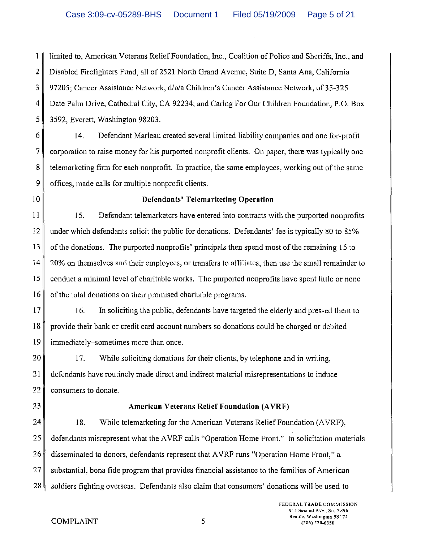1 limited to, American Veterans Relief Foundation, Inc., Coalition of Police and Sheriffs, Inc., and 2 Disabled Firefighters Fund, all of 2521 North Grand Avenue, Suite D, Santa Ana, California 3 97205; Cancer Assistance Network, d/b/a Children's Cancer Assistance Network, of 35-325 4 Date Palm Drive, Cathedral City, CA 92234; and Caring For Our Children Foundation, P.O. Box 5 3592, Everett, Washington 98203.

6 14. Defendant Marleau created several limited liability companies and one for-profit 7 corporation to raise money for his purported nonprofit clients. On paper, there was typically one 8 telemarketing firm for each nonprofit. In practice, the same employees, working out of the same 9 offices, made calls for multiple nonprofit clients.

## 10 **Defendants' Telemarketing Operation**

11 15. Defendant telemarketers have entered into contracts with the purported nonprofits 12 under which defendants solicit the public for donations. Defendants' fee is typically 80 to 85% 13 of the donations. The purported nonprofits' principals then spend most of the remaining 15 to 14 20% on themselves and their employees, or transfers to affiliates, then use the small remainder to  $15$  conduct a minimal level of charitable works. The purported nonprofits have spent little or none  $16$  of the total donations on their promised charitable programs.

 $17$  16. In soliciting the public, defendants have targeted the elderly and pressed them to 18 provide their bank or credit card account numbers so donations could be charged or debited 19 immediately-sometimes more than once.

 $20$  || 17. While soliciting donations for their clients, by telephone and in writing, 21 defendants have routinely made direct and indirect material misrepresentations to induce 22 consumers to donate.

# 23 **American Veterans Relief Foundation (A VRF)**

24 18. While telemarketing for the American Veterans Relief Foundation (AVRF), 25 defendants misrepresent what the A VRF calls "Operation Home Front." In solicitation materials 26 disseminated to donors, defendants represent that AVRF runs "Operation Home Front," a  $27$  substantial, bona fide program that provides financial assistance to the families of American 28 soldiers fighting overseas. Defendants also claim that consumers' donations will be used to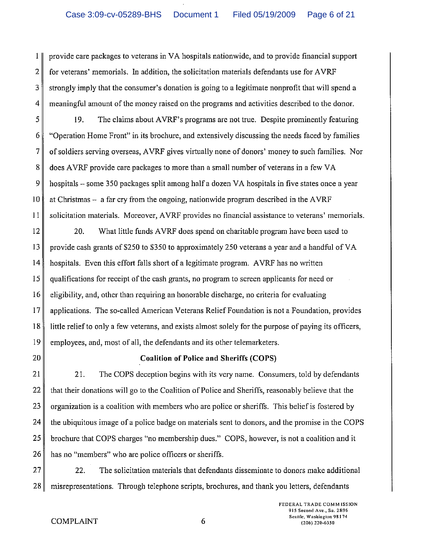I provide care packages to veterans in VA hospitals nationwide, and to provide financial support 2 for veterans' memorials. In addition, the solicitation materials defendants use for AVRF 3 strongly imply that the consumer's donation is going to a legitimate nonprofit that will spend a 4 meaningful amount of the money raised on the programs and activities described to the donor.

5 19. The claims about A VRF's programs are not true. Despite prominently featuring 6 "Operation Home Front" in its brochure, and extensively discussing the needs faced by families 7 of soldiers serving overseas, AVRF gives virtually none of donors' money to such families. Nor 8 does AVRF provide care packages to more than a small number of veterans in a few VA 9 hospitals - some 350 packages split among half a dozen VA hospitals in five states once a year 10 at Christmas – a far cry from the ongoing, nationwide program described in the AVRF  $11$  solicitation materials. Moreover, AVRF provides no financial assistance to veterans' memorials.

 $12$  20. What little funds AVRF does spend on charitable program have been used to 13 provide cash grants of \$250 to \$350 to approximately 250 veterans a year and a handful of VA 14 hospitals. Even this effort falls short of a legitimate program. A VRF has no written 15 qualifications for receipt of the cash grants, no program to screen applicants for need or  $16 \parallel$  eligibility, and, other than requiring an honorable discharge, no criteria for evaluating 17 applications. The so-called American Veterans Relief Foundation is not a Foundation, provides 18 little relief to only a few veterans, and exists almost solely for the purpose of paying its officers, 19 employees, and, most of all, the defendants and its other telemarketers.

# 20 **Coalition of Police and Sheriffs (COPS)**

21 21. The COPS deception begins with its very name. Consumers, told by defendants 22  $\parallel$  that their donations will go to the Coalition of Police and Sheriffs, reasonably believe that the 23 organization is a coalition with members who are police or sheriffs. This belief is fostered by  $24$  the ubiquitous image of a police badge on materials sent to donors, and the promise in the COPS 25 brochure that COPS charges "no membership dues." COPS, however, is not a coalition and it 26 has no "members" who are police officers or sheriffs.

 $27$  22. The solicitation materials that defendants disseminate to donors make additional 28 misrepresentations. Through telephone scripts, brochures, and thank you letters, defendants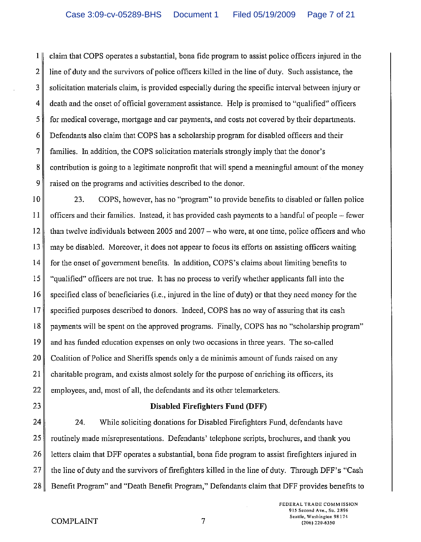1 claim that COPS operates a substantial, bona fide program to assist police officers injured in the 2 line of duty and the survivors of police officers killed in the line of duty. Such assistance, the  $3 \parallel$  solicitation materials claim, is provided especially during the specific interval between injury or 4 death and the onset of official government assistance. Help is promised to "qualified" officers 5 for medical coverage, mortgage and car payments, and costs not covered by their departments. 6 Defendants also claim that COPS has a scholarship program for disabled officers and their 7 families. In addition, the COPS solicitation materials strongly imply that the donor's  $8 \parallel$  contribution is going to a legitimate nonprofit that will spend a meaningful amount of the money 9 raised on the programs and activities described to the donor.

10 23. COPS, however, has no "program" to provide benefits to disabled or fallen police 11 officers and their families. Instead, it has provided cash payments to a handful of people - fewer 12 than twelve individuals between 2005 and 2007 – who were, at one time, police officers and who  $13$  may be disabled. Moreover, it does not appear to focus its efforts on assisting officers waiting  $14 \parallel$  for the onset of government benefits. In addition, COPS's claims about limiting benefits to 15 "qualified" officers are not true. It has no process to verify whether applicants fall into the  $16 \parallel$  specified class of beneficiaries (i.e., injured in the line of duty) or that they need money for the  $17$  specified purposes described to donors. Indeed, COPS has no way of assuring that its cash  $18 \parallel$  payments will be spent on the approved programs. Finally, COPS has no "scholarship program"  $19$  and has funded education expenses on only two occasions in three years. The so-called 20 Coalition of Police and Sheriffs spends only a de minimis amount of funds raised on any 21 charitable program, and exists almost solely for the purpose of enriching its officers, its  $22$  employees, and, most of all, the defendants and its other telemarketers.

# 23 Disabled Firefighters Fund (DFF)

24 24. While soliciting donations for Disabled Firefighters Fund, defendants have 25 routinely made misrepresentations. Defendants' telephone scripts, brochures, and thank you 26 letters claim that DFF operates a substantial, bona fide program to assist firefighters injured in 27 the line of duty and the survivors of firefighters killed in the line of duty. Through DFF's "Cash" 28 Benefit Program" and "Death Benefit Program," Defendants claim that DFF provides benefits to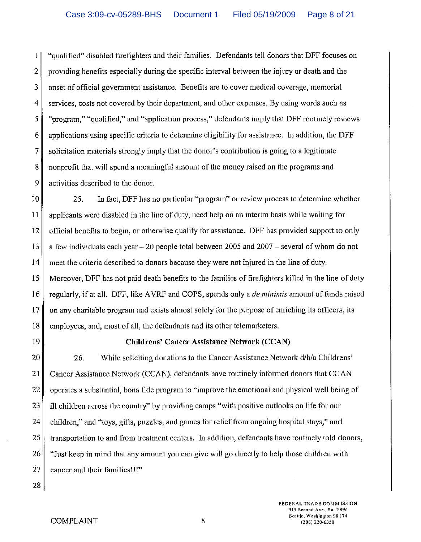1 "qualified" disabled firefighters and their families. Defendants tell donors that DFF focuses on  $2 \parallel$  providing benefits especially during the specific interval between the injury or death and the 3 onset of official government assistance. Benefits are to cover medical coverage, memorial 4 services, costs not covered by their department, and other expenses. By using words such as 5 "program," "qualified," and "application process," defendants imply that DFF routinely reviews  $6 \parallel$  applications using specific criteria to determine eligibility for assistance. In addition, the DFF  $7\parallel$  solicitation materials strongly imply that the donor's contribution is going to a legitimate 8 nonprofit that will spend a meaningful amount of the money raised on the programs and  $9 \parallel$  activities described to the donor.

10 25. In fact, DFF has no particular "program" or review process to determine whether  $11$  applicants were disabled in the line of duty, need help on an interim basis while waiting for 12 official benefits to begin, or otherwise qualify for assistance. DFF has provided support to only 13 a few individuals each year - 20 people total between 2005 and 2007 - several of whom do not 14 meet the criteria described to donors because they were not injured in the line of duty. 15 Moreover, DFF has not paid death benefits to the families of firefighters killed in the line of duty 16 regularly, if at all. DFF, like A VRF and COPS, spends only a *de minimis* amount of funds raised  $17$  on any charitable program and exists almost solely for the purpose of enriching its officers, its 18 employees, and, most of all, the defendants and its other telemarketers.

## 19 Childrens' Cancer Assistance **Network** (CCAN)

20 26. While soliciting donations to the Cancer Assistance Network d/b/a Childrens' 21 Cancer Assistance Network (CCAN), defendants have routinely informed donors that CCAN 22 operates a substantial, bona fide program to "improve the emotional and physical well being of 23 ill children across the country" by providing camps "with positive outlooks on life for our  $24$  children," and "toys, gifts, puzzles, and games for relief from ongoing hospital stays," and 25 transportation to and from treatment centers. In addition, defendants have routinely told donors, 26 "Just keep in mind that any amount you can give will go directly to help those children with  $27$  cancer and their families!!!"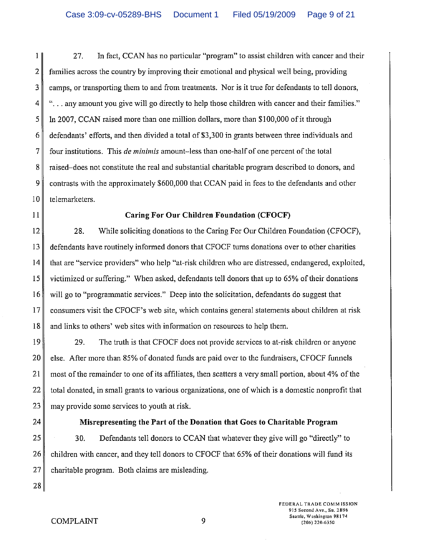1 27. In fact, CCAN has no particular "program" to assist children with cancer and their 2 families across the country by improving their emotional and physical well being, providing  $3 \parallel$  camps, or transporting them to and from treatments. Nor is it true for defendants to tell donors, 4 "... any amount you give will go directly to help those children with cancer and their families." 5 In 2007, CCAN raised more than one million dollars, more than \$100,000 of it through 6 defendants' efforts, and then divided a total of \$3,300 in grants between three individuals and 7 four institutions. This *de minimis* amount-less than one-half of one percent of the total 8 raised-does not constitute the real and substantial charitable program described to donors, and 9 contrasts with the approximately \$600,000 that CCAN paid in fees to the defendants and other 10 telemarketers.

### 11 Caring For Our Children Foundation (CFOCF)

12 28. While soliciting donations to the Caring For Our Children Foundation (CFOCF), 13 defendants have routinely informed donors that CFOCF turns donations over to other charities 14 that are "service providers" who help "at-risk children who are distressed, endangered, exploited, 15 victimized or suffering." When asked, defendants tell donors that up to 65% of their donations 16 will go to "programmatic services." Deep into the solicitation, defendants do suggest that 17 consumers visit the CFOCF's web site, which contains general statements about children at risk 18 and links to others' web sites with information on resources to help them.

19 29. The truth is that CFOCF does not provide services to at-risk children or anyone 20 else. After more than 85% of donated funds are paid over to the fundraisers, CFOCF funnels 21 most of the remainder to one of its affiliates, then scatters a very small portion, about 4% of the 22 total donated, in small grants to various organizations, one of which is a domestic nonprofit that  $23$  may provide some services to youth at risk.

### 24 Misrepresenting the Part of the Donation that Goes to Charitable Program

 $25$  30. Defendants tell donors to CCAN that whatever they give will go "directly" to 26 children with cancer, and they tell donors to CFOCF that 65% of their donations will fund its  $27$  charitable program. Both claims are misleading.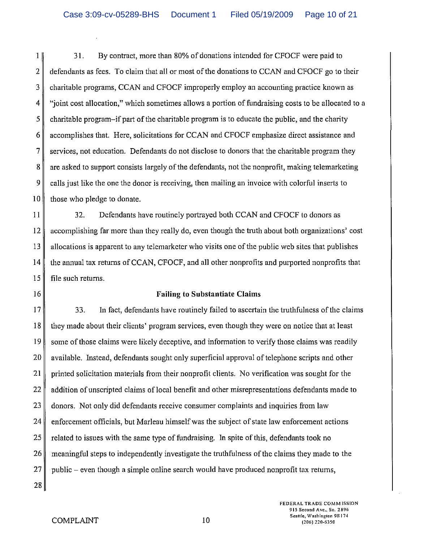I 31. By contract, more than 80% of donations intended for CFOCF were paid to  $2 \parallel$  defendants as fees. To claim that all or most of the donations to CCAN and CFOCF go to their 3 charitable programs, CCAN and CFOCF improperly employ an accounting practice known as 4 "joint cost allocation," which sometimes allows a portion of fundraising costs to be allocated to a  $5 \parallel$  charitable program-if part of the charitable program is to educate the public, and the charity 6 accomplishes that. Here, solicitations for CCAN and CFOCF emphasize direct assistance and  $7 \parallel$  services, not education. Defendants do not disclose to donors that the charitable program they 8 are asked to support consists largely of the defendants, not the nonprofit, making telemarketing  $9 \parallel$  calls just like the one the donor is receiving, then mailing an invoice with colorful inserts to  $10$  those who pledge to donate.

**II** 32. Defendants have routinely portrayed both CCAN and CFOCF to donors as 12 accomplishing far more than they really do, even though the truth about both organizations' cost  $13$  allocations is apparent to any telemarketer who visits one of the public web sites that publishes  $14 \parallel$  the annual tax returns of CCAN, CFOCF, and all other nonprofits and purported nonprofits that  $15$  file such returns.

#### 16 **Failing to Substantiate Claims**

17 33. In fact, defendants have routinely failed to ascertain the truthfulness of the claims  $18$  they made about their clients' program services, even though they were on notice that at least 19 some of those claims were likely deceptive, and information to verify those claims was readily 20 available. Instead, defendants sought only superficial approval of telephone scripts and other 21 printed solicitation materials from their nonprofit clients. No verification was sought for the 22  $\parallel$  addition of unscripted claims of local benefit and other misrepresentations defendants made to  $23$  donors. Not only did defendants receive consumer complaints and inquiries from law 24 enforcement officials, but Marleau himself was the subject of state law enforcement actions 25 related to issues with the same type of fundraising. In spite of this, defendants took no 26 meaningful steps to independently investigate the truthfulness of the claims they made to the  $27$  public – even though a simple online search would have produced nonprofit tax returns,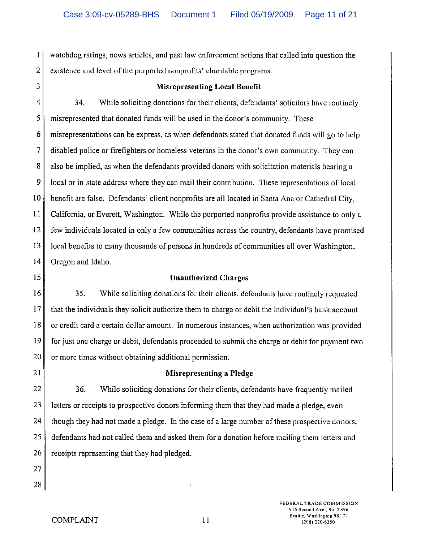1 watchdog ratings, news articles, and past law enforcement actions that called into question the 2 existence and level of the purported nonprofits' charitable programs.

#### 3 Misrepresenting Local Benelit

4 34. While soliciting donations for their clients, defendants' solicitors have routinely 5 misrepresented that donated funds will be used in the donor's community. These 6 misrepresentations can be express, as when defendants statcd that donated funds will go to help 7 disabled police or firefighters or homeless veterans in the donor's own community. They can 8 also be implied, as when the defendants provided donors with solicitation materials bearing a  $9 \parallel$  local or in-state address where they can mail their contribution. These representations of local 10 benefit are false. Defendants' client nonprofits are all located in Santa Ana or Cathedral City, II California, or Everett, Washington. While the purported nonprofits provide assistance to only a  $12 \parallel$  few individuals located in only a few communities across the country, defendants have promised  $13$  local benefits to many thousands of persons in hundreds of communities all over Washington, 14 Oregon and Idaho.

### 15 Unauthorized Charges

16 35. While soliciting donations for their clients, defendants have routinely requested  $17$  that the individuals they solicit authorize them to charge or debit the individual's bank account 18 or credit card a certain dollar amount. In numerous instances, when authorization was provided 19 for just one charge or debit, defendants proceeded to submit the charge or debit for payment two  $20$  or more times without obtaining additional permission.

### 21 || Misrepresenting a Pledge

  $\parallel$  36. While soliciting donations for their clients, defendants have frequently mailed letters or receipts to prospective donors informing them that they had made a pledge, even though they had not made a pledge. In the case of a large number of these prospective donors, defendants had not called them and asked them for a donation before mailing them letters and receipts representing that they had pledged.

27 28

FEDERAL TRADE COMM ISSION 915 Second Ave., Su. 2896 Senttle, Washington 98174 (2116) 220·6350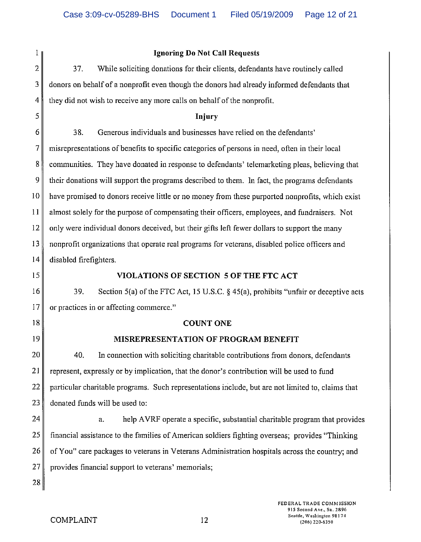| 1              | <b>Ignoring Do Not Call Requests</b>                                                              |  |
|----------------|---------------------------------------------------------------------------------------------------|--|
| $\overline{2}$ | 37.<br>While soliciting donations for their clients, defendants have routinely called             |  |
| 3              | donors on behalf of a nonprofit even though the donors had already informed defendants that       |  |
| 4              | they did not wish to receive any more calls on behalf of the nonprofit.                           |  |
| 5              | <b>Injury</b>                                                                                     |  |
| 6              | 38.<br>Generous individuals and businesses have relied on the defendants'                         |  |
| 7              | misrepresentations of benefits to specific categories of persons in need, often in their local    |  |
| 8              | communities. They have donated in response to defendants' telemarketing pleas, believing that     |  |
| 9              | their donations will support the programs described to them. In fact, the programs defendants     |  |
| 10             | have promised to donors receive little or no money from these purported nonprofits, which exist   |  |
| 11             | almost solely for the purpose of compensating their officers, employees, and fundraisers. Not     |  |
| 12             | only were individual donors deceived, but their gifts left fewer dollars to support the many      |  |
| 13             | nonprofit organizations that operate real programs for veterans, disabled police officers and     |  |
| 14             | disabled firefighters.                                                                            |  |
| 15             | VIOLATIONS OF SECTION 5 OF THE FTC ACT                                                            |  |
| 16             | 39.<br>Section 5(a) of the FTC Act, 15 U.S.C. § 45(a), prohibits "unfair or deceptive acts        |  |
| 17             | or practices in or affecting commerce."                                                           |  |
| 18             | <b>COUNT ONE</b>                                                                                  |  |
| 19             | MISREPRESENTATION OF PROGRAM BENEFIT                                                              |  |
| 20             | 40.<br>In connection with soliciting charitable contributions from donors, defendants             |  |
| 21             | represent, expressly or by implication, that the donor's contribution will be used to fund        |  |
| 22             | particular charitable programs. Such representations include, but are not limited to, claims that |  |
| 23             | donated funds will be used to:                                                                    |  |
| 24             | help AVRF operate a specific, substantial charitable program that provides<br>a.                  |  |
| 25             | financial assistance to the families of American soldiers fighting overseas; provides "Thinking"  |  |
| 26             | of You" care packages to veterans in Veterans Administration hospitals across the country; and    |  |
| 27             | provides financial support to veterans' memorials;                                                |  |
| 28             |                                                                                                   |  |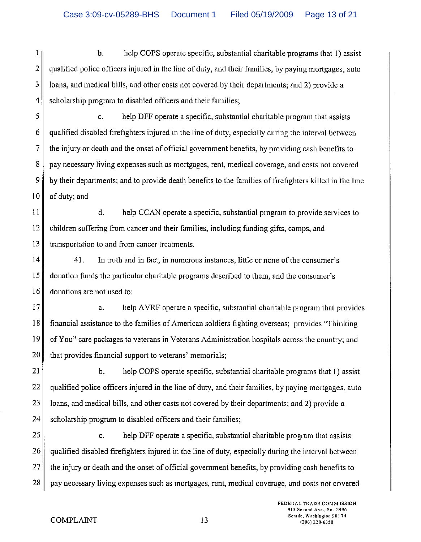1 b. help COPS operate specific, substantial charitable programs that 1) assist  $2 \parallel$  qualified police officers injured in the line of duty, and their families, by paying mortgages, auto  $3 \parallel$  loans, and medical bills, and other costs not covered by their departments; and 2) provide a 4 scholarship program to disabled officers and their families;

5 c. help DFF operate a specific, substantial charitable program that assists  $6 \parallel$  qualified disabled firefighters injured in the line of duty, especially during the interval between  $7 \parallel$  the injury or death and the onset of official government benefits, by providing cash benefits to 8 pay necessary living expenses such as mortgages, rent, medical coverage, and costs not covered 9 by their departments; and to provide death benefits to the families of firefighters killed in the line  $10$  of duty; and

I 1 d. help CCAN operate a specific, substantial program to provide services to 12 children suffering from cancer and their families, including funding gifts, camps, and 13 transportation to and from cancer treatments.

 $14$  41. In truth and in fact, in numerous instances, little or none of the consumer's 15 donation funds the particular charitable programs described to them, and the consumer's 16 donations are not used to:

 $17$  a. help AVRF operate a specific, substantial charitable program that provides 18 financial assistance to the families of American soldiers fighting overseas; provides "Thinking 19 of You" care packages to veterans in Veterans Administration hospitals across the country; and  $20$  that provides financial support to veterans' memorials;

 $\parallel$  b. help COPS operate specific, substantial charitable programs that 1) assist qualified police officers injured in the line of duty, and their families, by paying mortgages, auto | loans, and medical bills, and other costs not covered by their departments; and 2) provide a scholarship program to disabled officers and their families;

 c. help DFF operate a specific, substantial charitable program that assists  $26 \parallel$  qualified disabled firefighters injured in the line of duty, especially during the interval between the injury or death and the onset of official government benefits, by providing cash benefits to pay necessary living expenses such as mortgages, rent, medical coverage, and costs not covered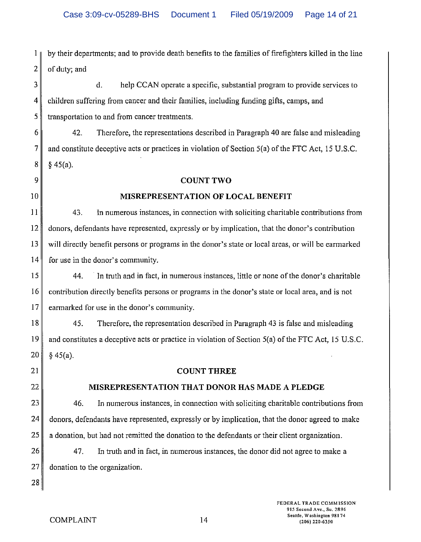1 by their departments; and to provide death benefits to the families of firefighters killed in the line  $2 \parallel$  of duty; and

 $3 \parallel$  d. help CCAN operate a specific, substantial program to provide services to 4 children suffering from cancer and their families, including funding gifts, camps, and 5 transportation to and from cancer treatments.

 $6$  42. Therefore, the representations described in Paragraph 40 are false and misleading 7 and constitute deceptive acts or practices in violation of Section  $5(a)$  of the FTC Act, 15 U.S.C.  $8 \parallel \S 45(a)$ .

# 9 COUNT TWO

# 10 **MISREPRESENTATION OF LOCAL BENEFIT**

11 43. In numerous instances, in connection with soliciting charitable contributions from 12 donors, defendants have represented, expressly or by implication, that the donor's contribution  $13 \parallel$  will directly benefit persons or programs in the donor's state or local areas, or will be earmarked 14 for use in the donor's community.

15 44. In truth and in fact, in numerous instances, little or none of the donor's charitable 16 contribution directly benefits persons or programs in the donor's state or local area, and is not 17 earmarked for use in the donor's community.

18 *4S.* Therefore, the representation described in Paragraph 43 is false and misleading 19 and constitutes a deceptive acts or practice in violation of Section Sea) of the FTC Act, *IS* U.S.C.  $20 \parallel \$ 45(a)$ .

#### 21 **COUNT THREE**

# 22 **MISREPRESENTATION THAT DONOR** HAS **MADE A PLEDGE**

 $23$   $\parallel$  46. In numerous instances, in connection with soliciting charitable contributions from  $24$  donors, defendants have represented, expressly or by implication, that the donor agreed to make 25 a donation, but had not remitted the donation to the defendants or their client organization.

26 47. In truth and in fact, in numerous instances, the donor did not agree to make a 27 donation to the organization.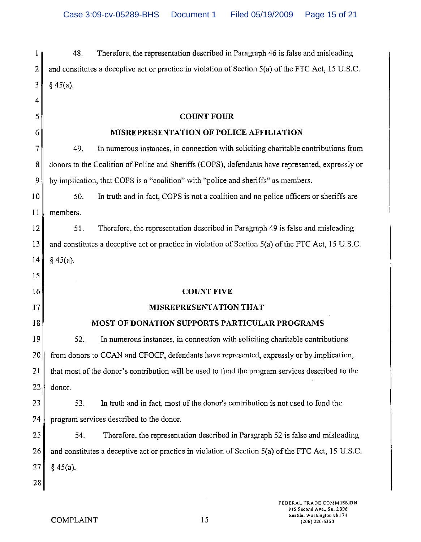| 1              | 48.<br>Therefore, the representation described in Paragraph 46 is false and misleading             |
|----------------|----------------------------------------------------------------------------------------------------|
| 2              | and constitutes a deceptive act or practice in violation of Section 5(a) of the FTC Act, 15 U.S.C. |
| 3              | § 45(a).                                                                                           |
| 4              |                                                                                                    |
| 5              | <b>COUNT FOUR</b>                                                                                  |
| 6              | MISREPRESENTATION OF POLICE AFFILIATION                                                            |
| $\overline{7}$ | 49.<br>In numerous instances, in connection with soliciting charitable contributions from          |
| 8              | donors to the Coalition of Police and Sheriffs (COPS), defendants have represented, expressly or   |
| 9              | by implication, that COPS is a "coalition" with "police and sheriffs" as members.                  |
| 10             | 50.<br>In truth and in fact, COPS is not a coalition and no police officers or sheriffs are        |
| $\bar{1}1$     | members.                                                                                           |
| 12             | Therefore, the representation described in Paragraph 49 is false and misleading<br>51.             |
| 13             | and constitutes a deceptive act or practice in violation of Section 5(a) of the FTC Act, 15 U.S.C. |
| 14             | $§$ 45(a).                                                                                         |
| 15             |                                                                                                    |
| 16             | <b>COUNT FIVE</b>                                                                                  |
| 17             | <b>MISREPRESENTATION THAT</b>                                                                      |
| 18             | MOST OF DONATION SUPPORTS PARTICULAR PROGRAMS                                                      |
| 19             | 52.<br>In numerous instances, in connection with soliciting charitable contributions               |
| 20             | from donors to CCAN and CFOCF, defendants have represented, expressly or by implication,           |
| 21             | that most of the donor's contribution will be used to fund the program services described to the   |
| 22             | donor.                                                                                             |
| 23             | In truth and in fact, most of the donor's contribution is not used to fund the<br>53.              |
| 24             | program services described to the donor.                                                           |
| 25             | Therefore, the representation described in Paragraph 52 is false and misleading<br>54.             |
| 26             | and constitutes a deceptive act or practice in violation of Section 5(a) of the FTC Act, 15 U.S.C. |
| 27             | $§$ 45(a).                                                                                         |
| 28             |                                                                                                    |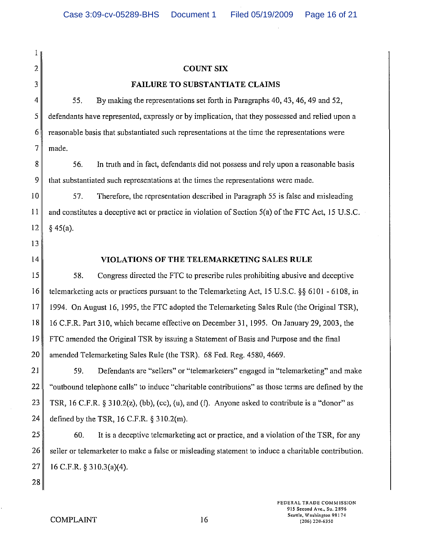$\mathbf{1}$ 2 3  $4$  55. COUNT SIX FAILURE TO SUBSTANTIATE CLAIMS By making the representations set forth in Paragraphs 40, 43, 46, 49 and 52, 5 defendants have represented, expressly or by implication, that they possessed and relied upon a  $6 \parallel$  reasonable basis that substantiated such representations at the time the representations were  $7$  made. 8 56. In truth and in fact, defendants did not possess and rely upon a reasonable basis 9 that substantiated such representations at the times the representations were made.  $10$  57. Therefore, the representation described in Paragraph 55 is false and misleading  $11$  and constitutes a deceptive act or practice in violation of Section 5(a) of the FTC Act, 15 U.S.C.  $12 \parallel \S 45(a)$ . 13 14  $15$  58. VIOLATIONS OF THE TELEMARKETING SALES RULE Congress directed the FTC to prescribe rules prohibiting abusive and deceptive 16 telemarketing acts or practices pursuant to the Telemarketing Act, 15 U.S.C. §§ 6101 - 6108, in 17 1994. On August 16, 1995, the FTC adopted the Telemarketing Sales Rule (the Original TSR), 18 16 C.F.R. Part 310, which became effective on December 31,1995. On January 29, 2003, the 19 FTC amended the Original TSR by issuing a Statement of Basis and Purpose and the final 20 amended Telemarketing Sales Rule (the TSR). 68 Fed. Reg. 4580, 4669. 21 59. Defendants are "sellers" or "telemarketers" engaged in "telemarketing" and make 22 "outbound telephone calls" to induce "charitable contributions" as those terms are defined by the 23 TSR, 16 C.F.R. § 310.2(z), (bb), (cc), (u), and (f). Anyone asked to contribute is a "donor" as 24 defined by the TSR, 16 C.F.R. § 310.2(m). 25 60. It is a deceptive telemarketing act or practice, and a violation of the TSR, for any  $26$  seller or telemarketer to make a false or misleading statement to induce a charitable contribution.  $27$  | 16 C.F.R. § 310.3(a)(4). 28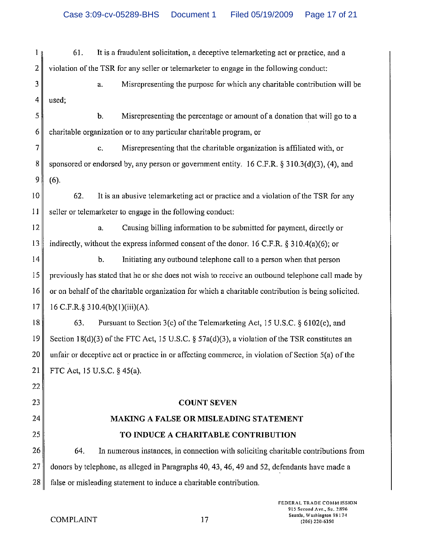| 1                       | 61.                                                                                                 | It is a fraudulent solicitation, a deceptive telemarketing act or practice, and a                 |
|-------------------------|-----------------------------------------------------------------------------------------------------|---------------------------------------------------------------------------------------------------|
| $\overline{\mathbf{2}}$ |                                                                                                     | violation of the TSR for any seller or telemarketer to engage in the following conduct:           |
| 3                       |                                                                                                     | Misrepresenting the purpose for which any charitable contribution will be<br>a.                   |
| 4                       | used;                                                                                               |                                                                                                   |
| 5                       |                                                                                                     | Misrepresenting the percentage or amount of a donation that will go to a<br>Ъ.                    |
| 6                       |                                                                                                     | charitable organization or to any particular charitable program, or                               |
| 7                       |                                                                                                     | Misrepresenting that the charitable organization is affiliated with, or<br>c.                     |
| 8                       |                                                                                                     | sponsored or endorsed by, any person or government entity. 16 C.F.R. $\S$ 310.3(d)(3), (4), and   |
| 9                       | (6).                                                                                                |                                                                                                   |
| 10                      | 62.                                                                                                 | It is an abusive telemarketing act or practice and a violation of the TSR for any                 |
| 11                      |                                                                                                     | seller or telemarketer to engage in the following conduct:                                        |
| 12                      |                                                                                                     | Causing billing information to be submitted for payment, directly or<br>a.                        |
| 13                      |                                                                                                     | indirectly, without the express informed consent of the donor. 16 C.F.R. § 310.4(a)(6); or        |
| 14                      |                                                                                                     | $\mathbf b$ .<br>Initiating any outbound telephone call to a person when that person              |
| 15                      |                                                                                                     | previously has stated that he or she does not wish to receive an outbound telephone call made by  |
| 16                      | or on behalf of the charitable organization for which a charitable contribution is being solicited. |                                                                                                   |
| 17                      |                                                                                                     | 16 C.F.R.§ 310.4(b)(1)(iii)(A).                                                                   |
| 18                      | 63.                                                                                                 | Pursuant to Section 3(c) of the Telemarketing Act, 15 U.S.C. § 6102(c), and                       |
| 19                      |                                                                                                     | Section 18(d)(3) of the FTC Act, 15 U.S.C. § 57a(d)(3), a violation of the TSR constitutes an     |
| 20                      |                                                                                                     | unfair or deceptive act or practice in or affecting commerce, in violation of Section 5(a) of the |
| 21                      |                                                                                                     | FTC Act, 15 U.S.C. § 45(a).                                                                       |
| 22                      |                                                                                                     |                                                                                                   |
| 23                      |                                                                                                     | <b>COUNT SEVEN</b>                                                                                |
| 24                      |                                                                                                     | <b>MAKING A FALSE OR MISLEADING STATEMENT</b>                                                     |
| 25                      |                                                                                                     | TO INDUCE A CHARITABLE CONTRIBUTION                                                               |
| 26                      | 64.                                                                                                 | In numerous instances, in connection with soliciting charitable contributions from                |
| 27                      |                                                                                                     | donors by telephone, as alleged in Paragraphs 40, 43, 46, 49 and 52, defendants have made a       |
| 28                      |                                                                                                     | false or misleading statement to induce a charitable contribution.                                |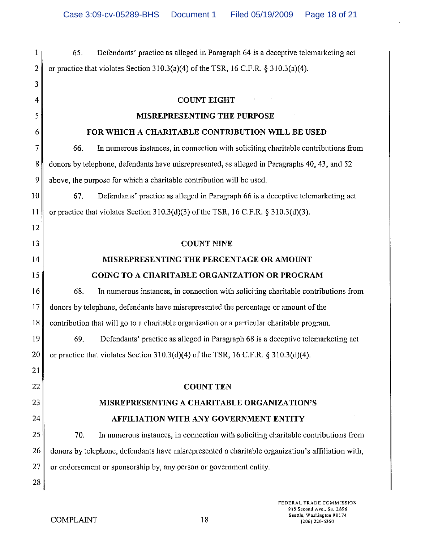1 65. Defendants' practice as alleged in Paragraph 64 is a deceptive telemarketing act 2 or practice that violates Section 310.3(a)(4) of the TSR, 16 C.F.R. § 310.3(a)(4). 3 4 5 6  $7$  66. COUNT EIGHT MISREPRESENTING THE PURPOSE FOR WHICH A CHARITABLE CONTRIBUTION WILL BE USED In numerous instances, in connection with soliciting charitable contributions from 8 donors by telephone, defendants have misrepresented, as alleged in Paragraphs 40, 43, and 52 9 above, the purpose for which a charitable contribution will be used. 10 67. Defendants' practice as alleged in Paragraph 66 is a deceptive telemarketing act 11 or practice that violates Section 310.3(d)(3) of the TSR, 16 C.F.R. § 310.3(d)(3). 12 13 14 15  $16$  68. COUNT NINE MISREPRESENTING THE PERCENTAGE OR AMOUNT GOING TO A CHARITABLE ORGANIZATION OR PROGRAM In numerous instances, in connection with soliciting charitable contributions from 17 donors by telephone, defendants have misrepresented the percentage or amount of the  $\|18\|$  contribution that will go to a charitable organization or a particular charitable program.  $19$  69. Defendants' practice as alleged in Paragraph 68 is a deceptive telemarketing act 20 or practice that violates Section 310.3(d)(4) of the TSR, 16 C.F.R. § 310.3(d)(4). 21 22 23 24  $25$  70. COUNT TEN MISREPRESENTING A CHARITABLE ORGANIZATION'S AFFILIATION WITH ANY GOVERNMENT ENTITY In numerous instances, in connection with soliciting charitable contributions from  $26 \parallel$  donors by telephone, defendants have misrepresented a charitable organization's affiliation with,  $27$  or endorsement or sponsorship by, any person or government entity. 28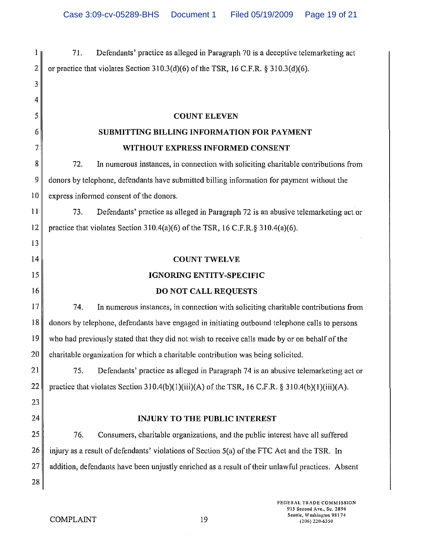| $\mathbf{1}$                           | Defendants' practice as alleged in Paragraph 70 is a deceptive telemarketing act<br>71.          |
|----------------------------------------|--------------------------------------------------------------------------------------------------|
| $\overline{2}$                         | or practice that violates Section $310.3(d)(6)$ of the TSR, 16 C.F.R. § 310.3(d)(6).             |
| 3                                      |                                                                                                  |
| 4                                      |                                                                                                  |
| 5                                      | <b>COUNT ELEVEN</b>                                                                              |
| 6                                      | SUBMITTING BILLING INFORMATION FOR PAYMENT                                                       |
| 7                                      | WITHOUT EXPRESS INFORMED CONSENT                                                                 |
| 8                                      | In numerous instances, in connection with soliciting charitable contributions from<br>72.        |
| 9                                      | donors by telephone, defendants have submitted billing information for payment without the       |
| 10                                     | express informed consent of the donors.                                                          |
| 11                                     | 73.<br>Defendants' practice as alleged in Paragraph 72 is an abusive telemarketing act or        |
| 12                                     | practice that violates Section 310.4(a)(6) of the TSR, 16 C.F.R. § 310.4(a)(6).                  |
| 13                                     |                                                                                                  |
| 14                                     | <b>COUNT TWELVE</b>                                                                              |
|                                        |                                                                                                  |
|                                        | <b>IGNORING ENTITY-SPECIFIC</b>                                                                  |
| 16                                     | DO NOT CALL REQUESTS                                                                             |
|                                        | 74.<br>In numerous instances, in connection with soliciting charitable contributions from        |
| 18                                     | donors by telephone, defendants have engaged in initiating outbound telephone calls to persons   |
|                                        | who had previously stated that they did not wish to receive calls made by or on behalf of the    |
|                                        | charitable organization for which a charitable contribution was being solicited.                 |
|                                        | 75.<br>Defendants' practice as alleged in Paragraph 74 is an abusive telemarketing act or        |
|                                        | practice that violates Section 310.4(b)(1)(iii)(A) of the TSR, 16 C.F.R. § 310.4(b)(1)(iii)(A).  |
| 15<br>17<br>19<br>20<br>21<br>22<br>23 |                                                                                                  |
| 24                                     | <b>INJURY TO THE PUBLIC INTEREST</b>                                                             |
| 25                                     | 76.<br>Consumers, charitable organizations, and the public interest have all suffered            |
| 26                                     | injury as a result of defendants' violations of Section 5(a) of the FTC Act and the TSR. In      |
| 27                                     | addition, defendants have been unjustly enriched as a result of their unlawful practices. Absent |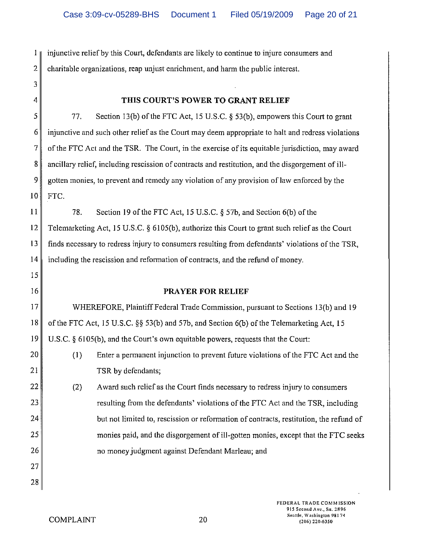$1 \text{ }\mu$  injunctive relief by this Court, defendants are likely to continue to injure consumers and 2 charitable organizations, reap unjust enrichment, and harm the public interest.

3 4

15

20

21

22

23

24

25

26

### **THIS COURT'S POWER TO GRANT RELIEF**

 $5$  77. Section 13(b) of the FTC Act, 15 U.S.C. § 53(b), empowers this Court to grant  $6 \parallel$  injunctive and such other relief as the Court may deem appropriate to halt and redress violations  $7\parallel$  of the FTC Act and the TSR. The Court, in the exercise of its equitable jurisdiction, may award 8 ancillary relief, including rescission of contracts and restitution, and the disgorgement of ill- $9 \parallel$  gotten monies, to prevent and remedy any violation of any provision of law enforced by the  $10$  FTC.

11 78. Section 19 of the FTC Act, 15 U.S.C. § 57b, and Section 6(b) of the 12 Telemarketing Act, 15 U.S.C. § 6105(b), authorize this Court to grant such relief as the Court 13 finds necessary to redress injury to consumers resulting from defendants' violations of the TSR, 14 including the rescission and reformation of contracts, and the refund of money.

16 **PRAYER FOR RELIEF** 

17 WHEREFORE, Plaintiff Federal Trade Commission, pursuant to Sections 13(b) and 19 18 of the FTC Act, 15 U.S.C. §§ 53(b) and 57b, and Section 6(b) of the Telemarketing Act, 15 19 U.S.C. § 6105(b), and the Court's own equitable powers, requests that the Court:

- (I) Enter a permanent injunction to prevent future violations of the FTC Act and the TSR by defendants;
- (2) Award such relief as the Court finds necessary to redress injury to consumers resulting from the defendants' violations of the FTC Act and the TSR, including but not limited to, rescission or reformation of contracts, restitution, the refund of monies paid, and the disgorgement of ill-gotten monies, except that the FTC seeks no money judgment against Defendant Marleau; and